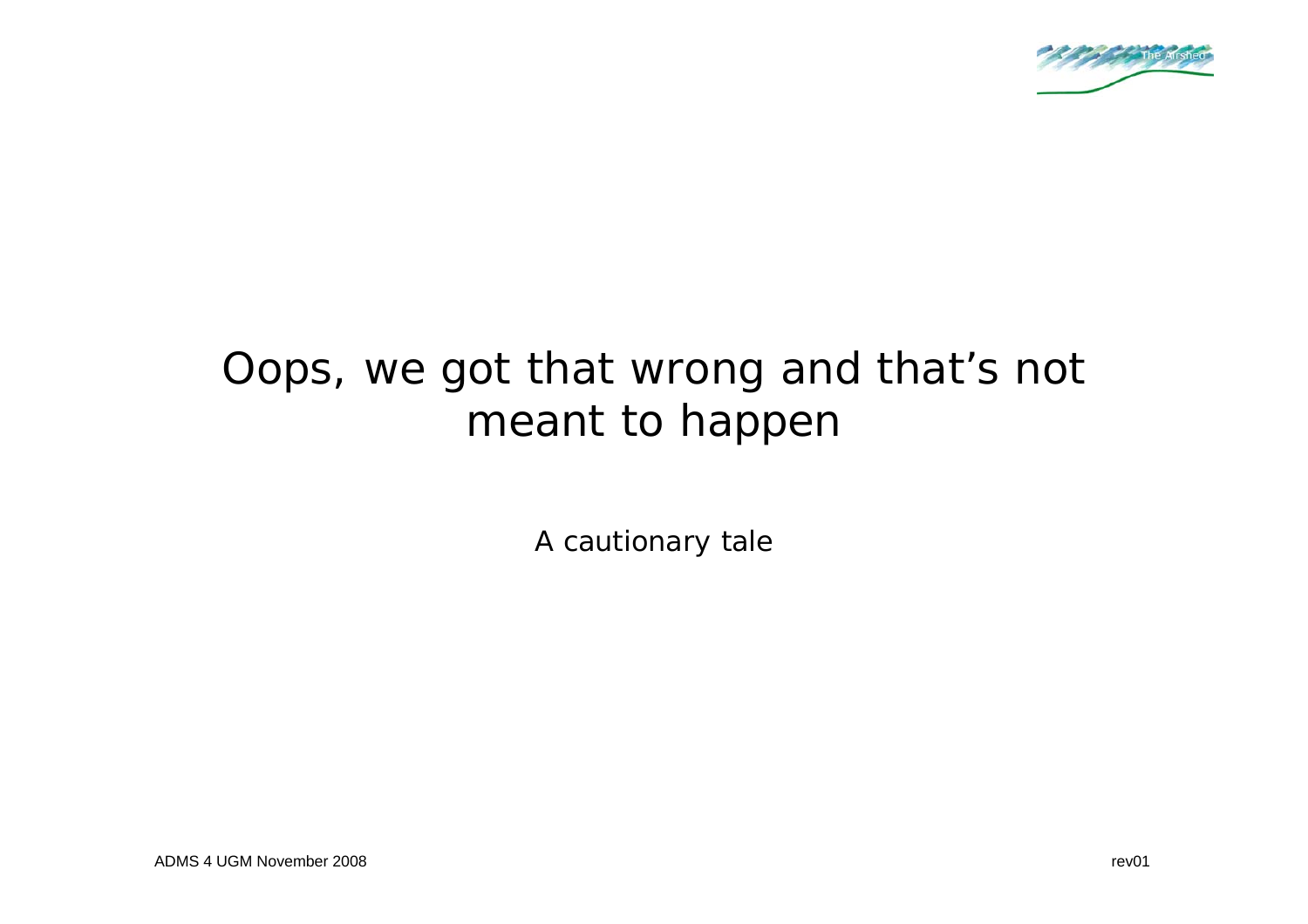

# Oops, we got that wrong and that's not meant to happen

A cautionary tale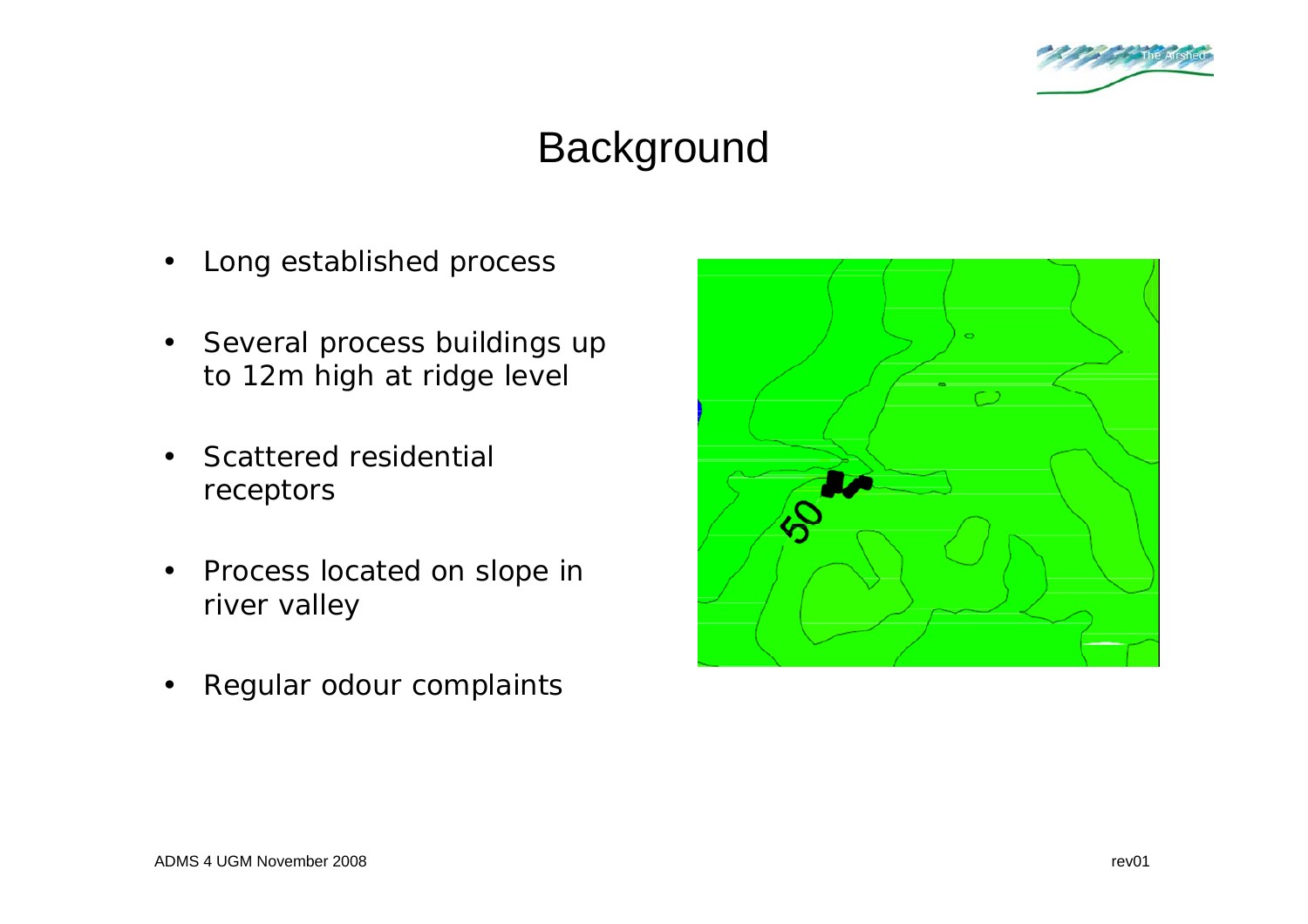

# Background

- Long established process
- Several process buildings up to 12m high at ridge level
- Scattered residential receptors
- Process located on slope in river valley
- Regular odour complaints

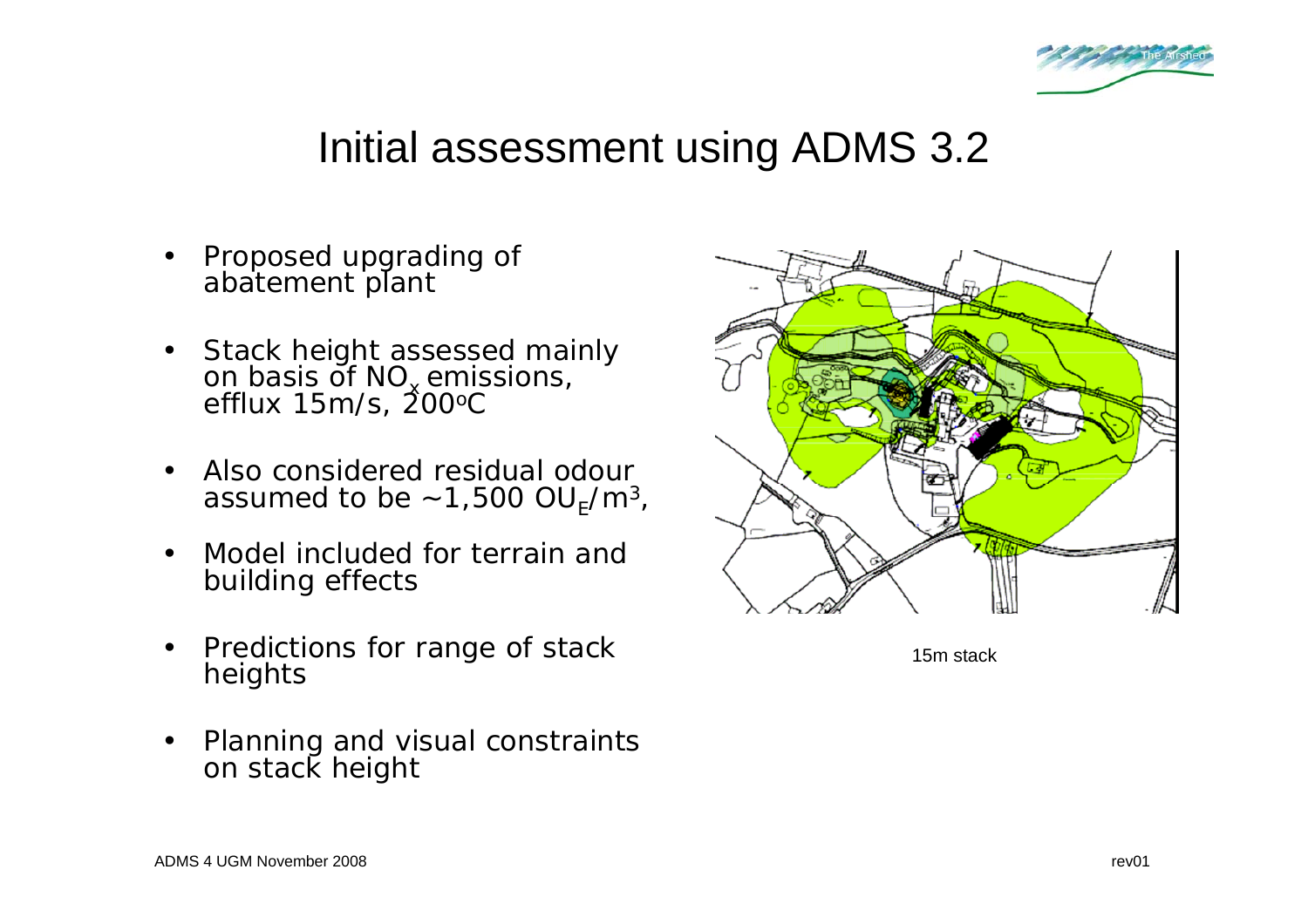

#### Initial assessment using ADMS 3.2

- Proposed upgrading of abatement plant
- Stack height assessed mainly on basis of NO<sub>x</sub> emissions,<br>efflux 15m/s, 200<sup>o</sup>C
- Also considered residual odour assumed to be  $\sim$  1,500 OU<sub>F</sub>/m<sup>3</sup>,
- Model included for terrain and building effects
- Predictions for range of stack heights
- Planning and visual constraints on stack height



15m stack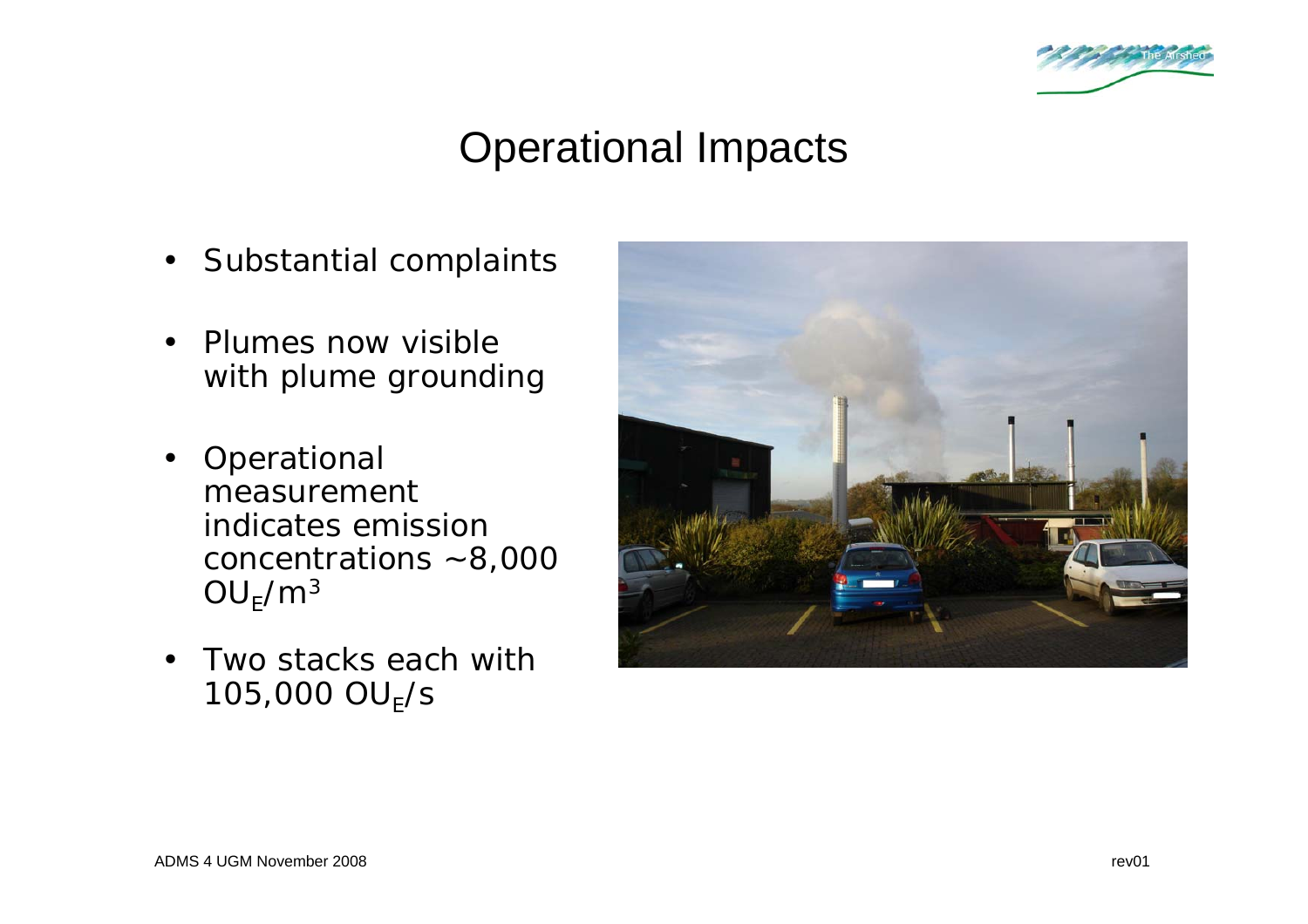

# Operational Impacts

- Substantial complaints
- Plumes now visible with plume grounding
- Operational measurement indicates emission concentrations ~8,000  $OU_F/m^3$
- Two stacks each with  $105,000 \text{ OU}_F\text{/s}$

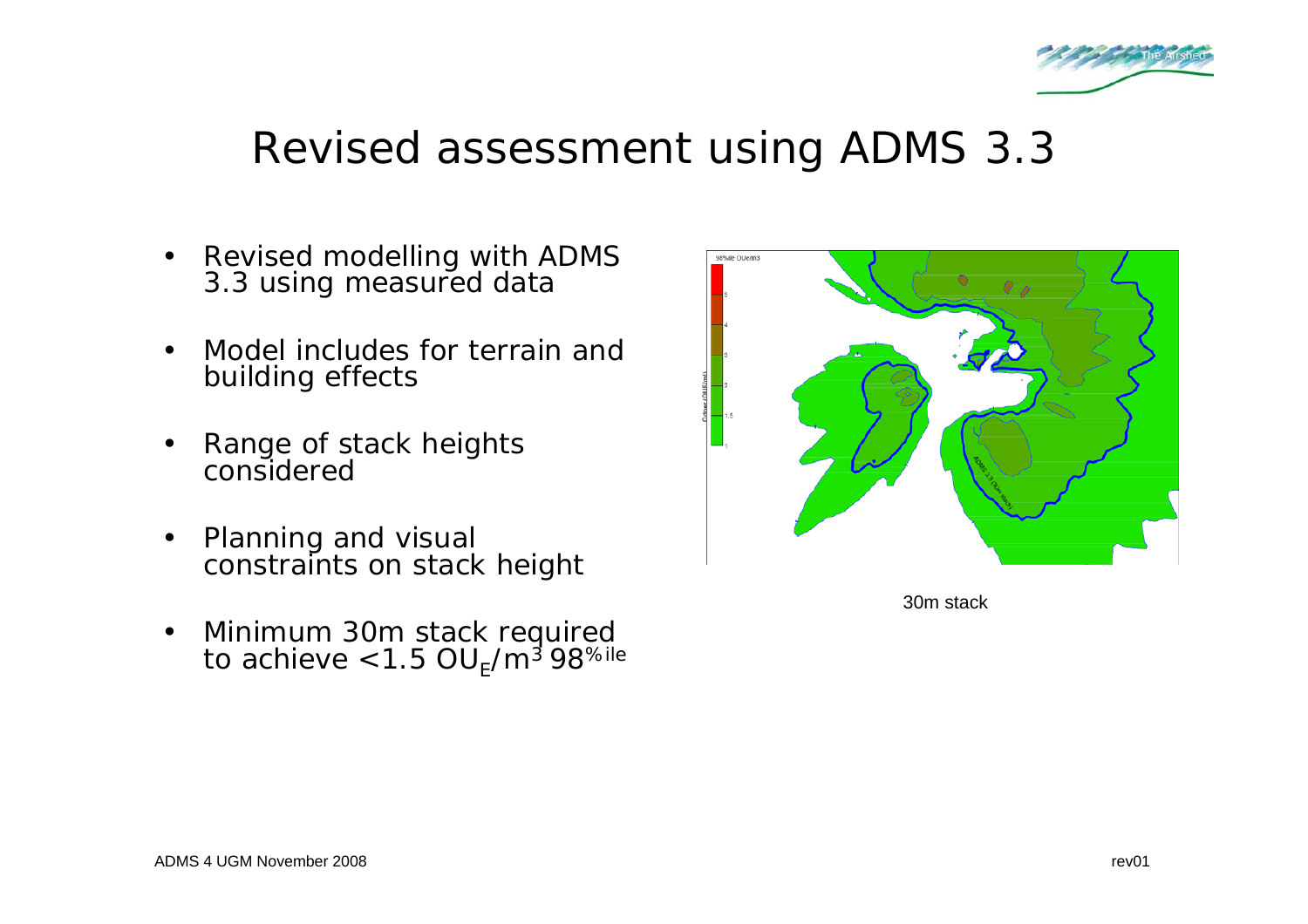

### Revised assessment using ADMS 3.3

- Revised modelling with ADMS 3.3 using measured data
- Model includes for terrain and building effects
- Range of stack heights considered
- Planning and visual constraints on stack height
- Minimum 30m stack required to achieve <1.5 OU<sub>E</sub>/m<sup>3</sup> 98<sup>%ile</sup>



30m stack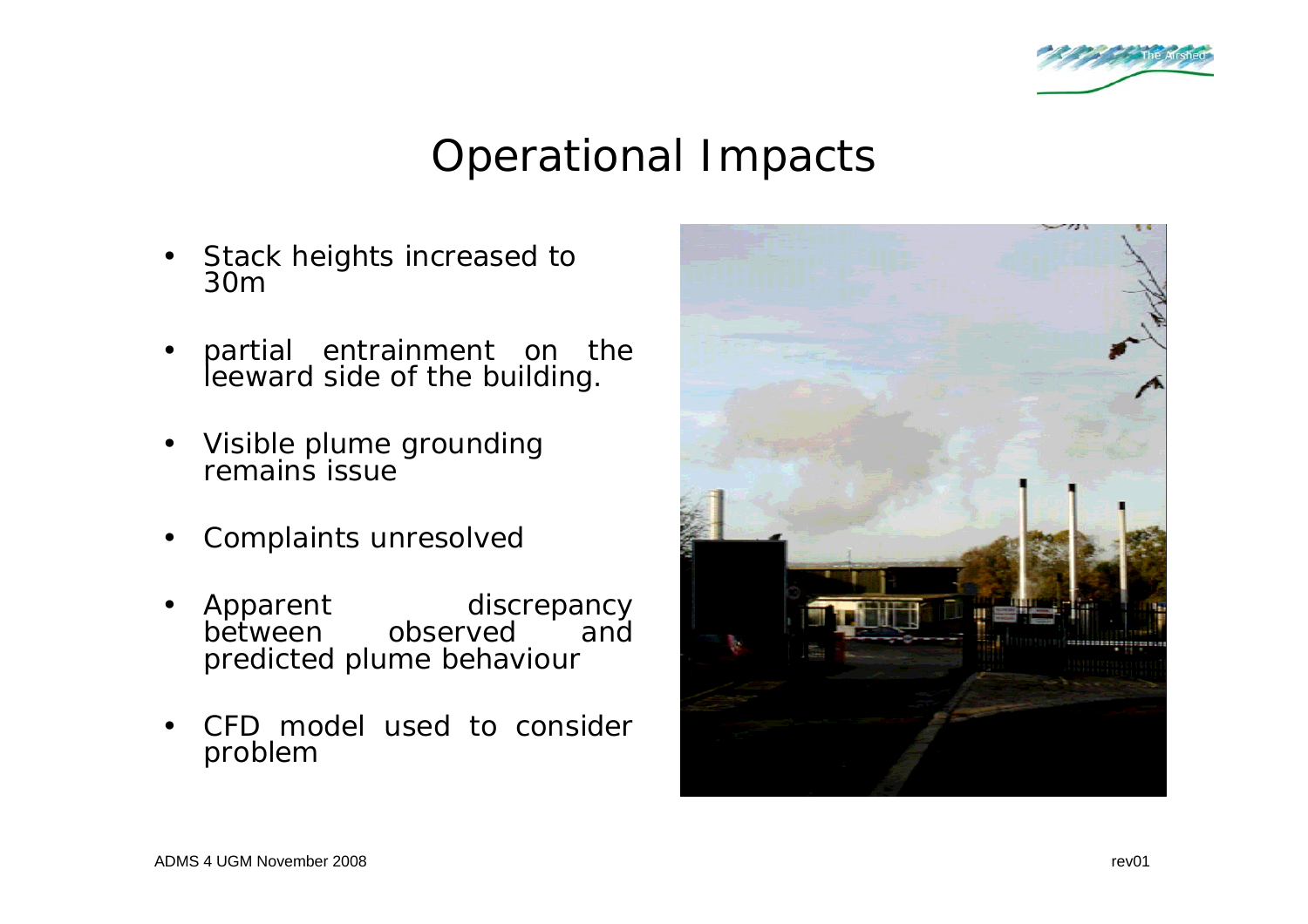

## Operational Impacts

- Stack heights increased to 30m
- partial entrainment on the leeward side of the building.
- Visible plume grounding remains issue
- Complaints unresolved
- Apparent discrepancy between observed and predicted plume behaviour
- CFD model used to consider problem

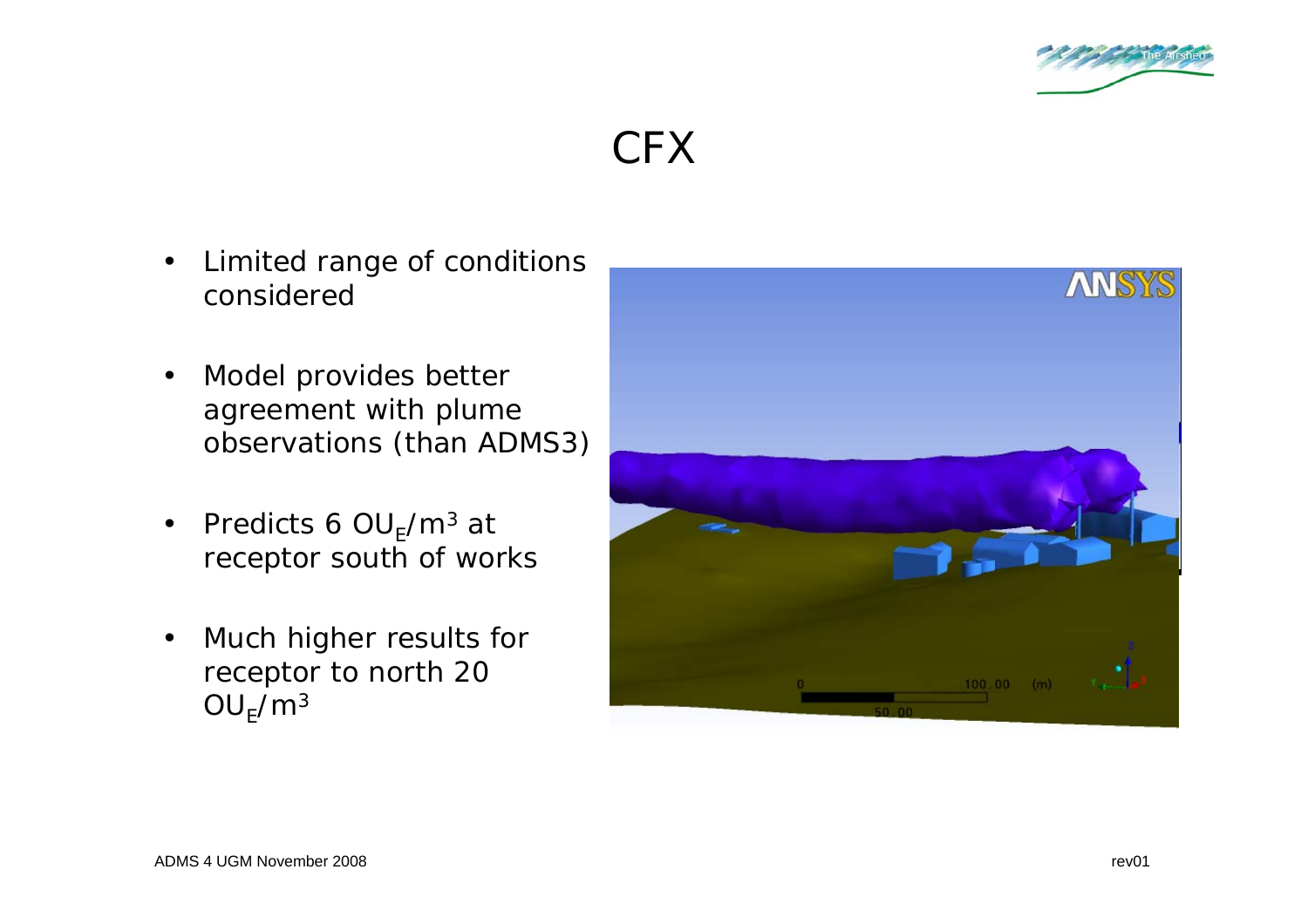

### CFX

- Limited range of conditions considered
- Model provides better agreement with plume observations (than ADMS3)
- Predicts 6  $OU_F/m^3$  at receptor south of works
- Much higher results for receptor to north 20  $OU_F/m^3$

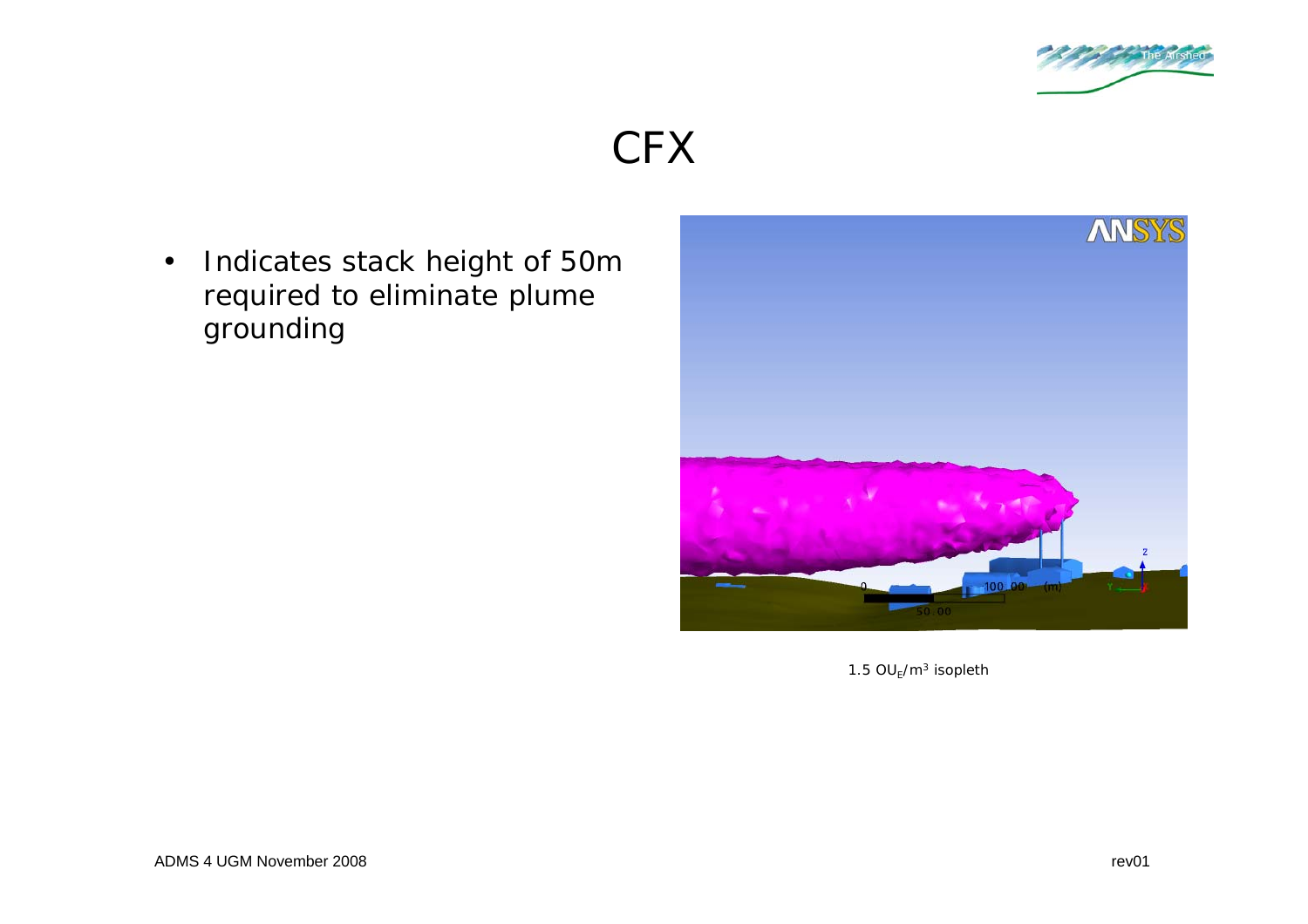

#### **CFX**

• Indicates stack height of 50m required to eliminate plume grounding



1.5  $OU_E/m^3$  isopleth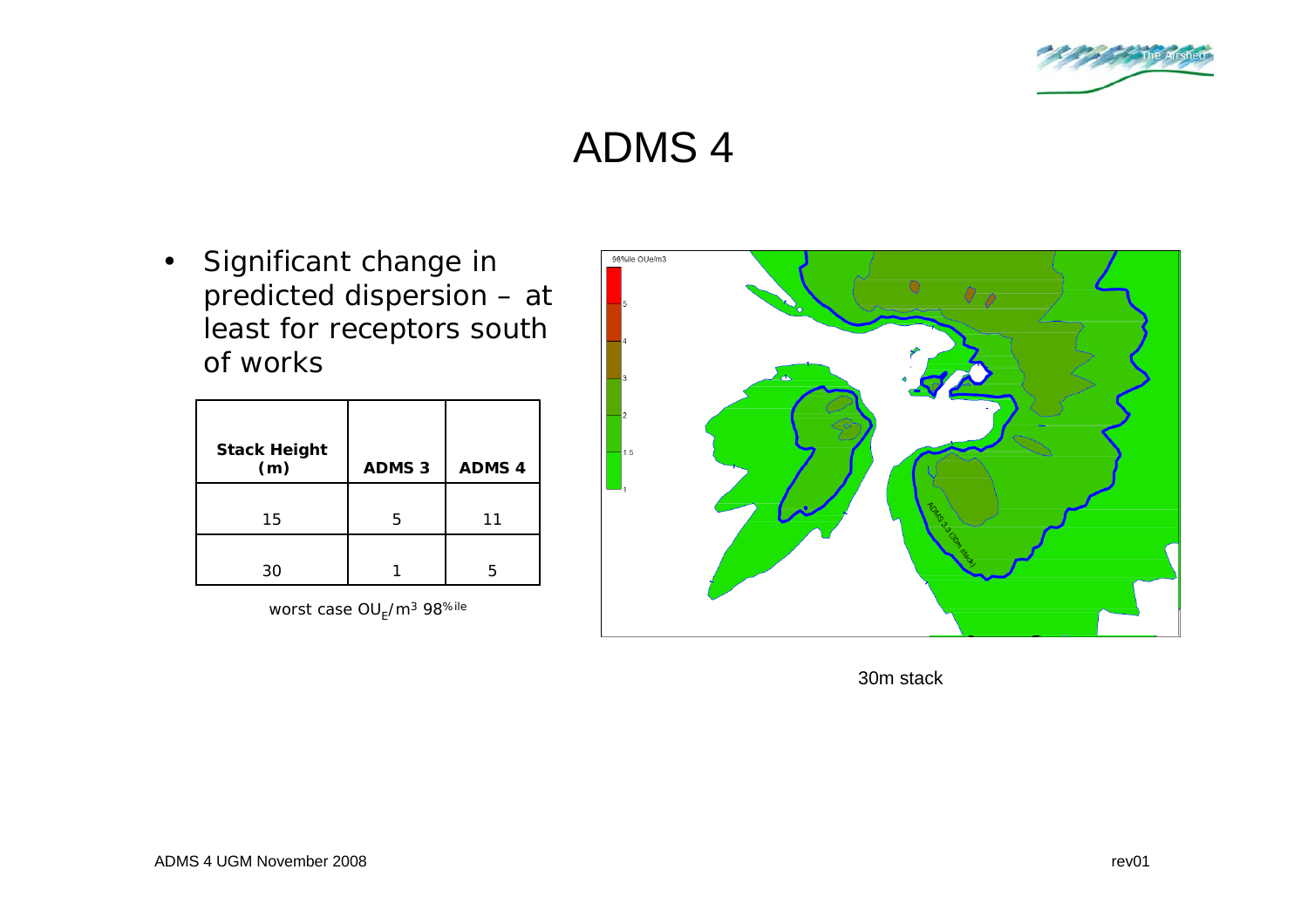

## ADMS 4

• Significant change in predicted dispersion – at least for receptors south of works

| <b>Stack Height</b><br>(m) | <b>ADMS 3</b> | <b>ADMS 4</b> |
|----------------------------|---------------|---------------|
| 15                         | 5             | 11            |
| 30                         |               | 5             |

worst case OU<sub>E</sub>/m<sup>3</sup> 98<sup>%ile</sup>



30m stack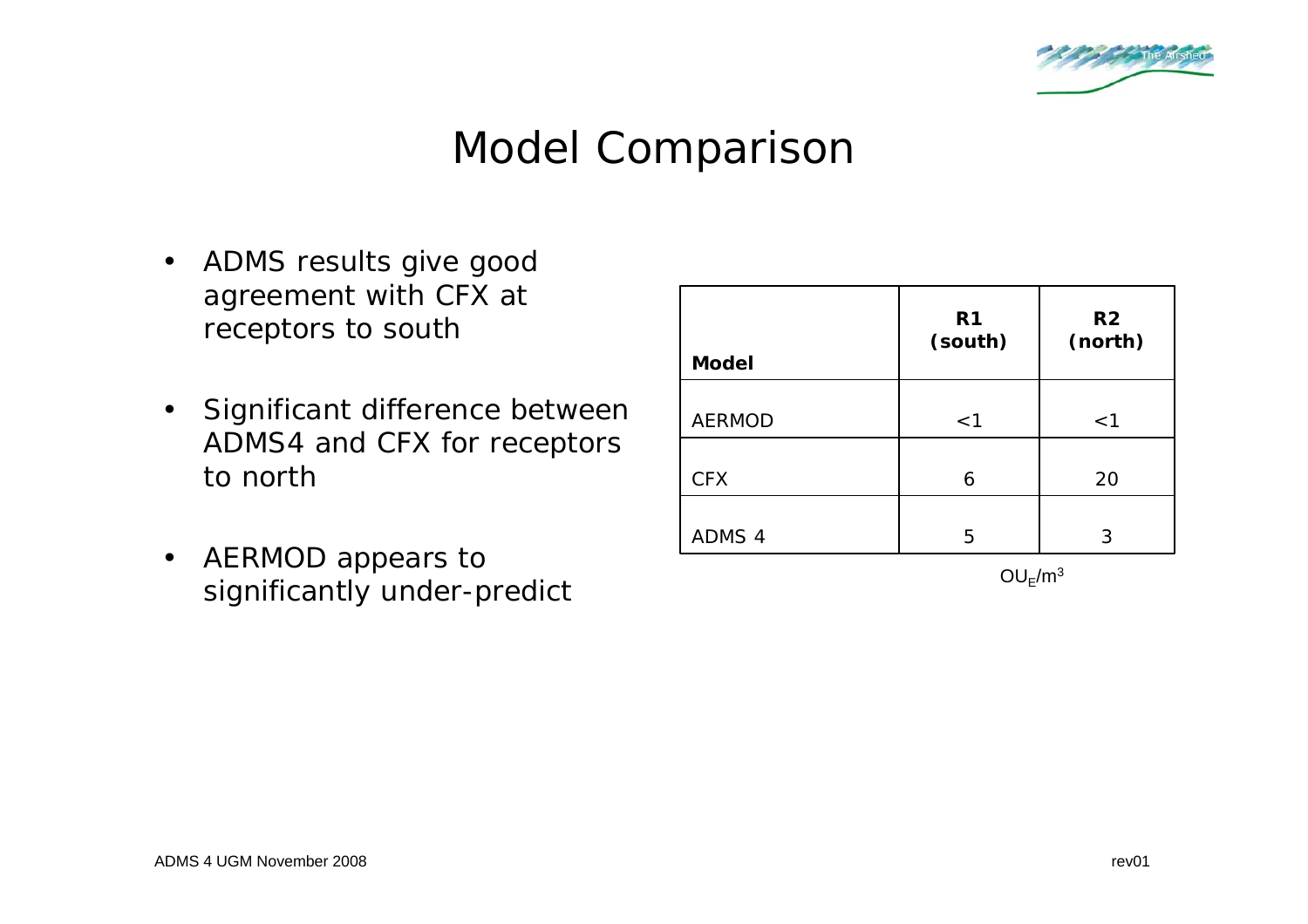

## Model Comparison

- ADMS results give good agreement with CFX at receptors to south
- Significant difference between ADMS4 and CFX for receptors to north
- AERMOD appears to significantly under-predict

| <b>Model</b>  | R <sub>1</sub><br>(south) | R <sub>2</sub><br>(north) |
|---------------|---------------------------|---------------------------|
| <b>AERMOD</b> | < 1                       | < 1                       |
| <b>CFX</b>    | 6                         | 20                        |
| ADMS 4        | 5                         | 3                         |

 $OU_F/m^3$